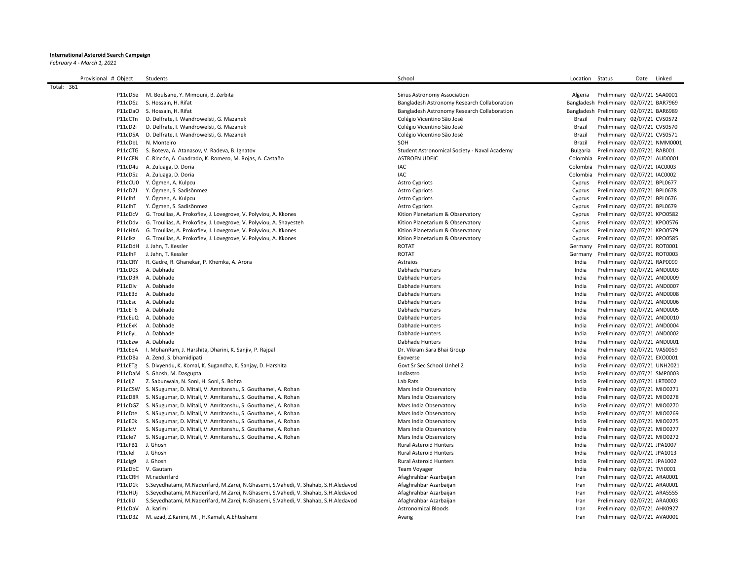## International Asteroid Search Campaign

February 4 - March 1, 2021

|            | Provisional # Object | Students                                                                           | School                                       | Location Status |                                                              | Date | Linked |
|------------|----------------------|------------------------------------------------------------------------------------|----------------------------------------------|-----------------|--------------------------------------------------------------|------|--------|
| Total: 361 |                      |                                                                                    |                                              |                 |                                                              |      |        |
|            | P11cD5e              | M. Boulsane, Y. Mimouni, B. Zerbita                                                | Sirius Astronomy Association                 | Algeria         | Preliminary 02/07/21 SAA0001                                 |      |        |
|            | P11cD6z              | S. Hossain, H. Rifat                                                               | Bangladesh Astronomy Research Collaboration  |                 | Bangladesh Preliminary 02/07/21 BAR7969                      |      |        |
|            | P11cDaO              | S. Hossain, H. Rifat                                                               | Bangladesh Astronomy Research Collaboration  |                 | Bangladesh Preliminary 02/07/21 BAR6989                      |      |        |
|            | P11cCTn              | D. Delfrate, I. Wandrowelsti, G. Mazanek                                           | Colégio Vicentino São José                   | Brazil          | Preliminary 02/07/21 CVS0572                                 |      |        |
|            | P11cD2i              | D. Delfrate, I. Wandrowelsti, G. Mazanek                                           | Colégio Vicentino São José                   | Brazil          | Preliminary 02/07/21 CVS0570                                 |      |        |
|            | P11cD5A              | D. Delfrate, I. Wandrowelsti, G. Mazanek                                           | Colégio Vicentino São José                   | Brazil          | Preliminary 02/07/21 CVS0571                                 |      |        |
|            | P11cDbL              | N. Monteiro                                                                        | SOH                                          | Brazil          | Preliminary 02/07/21 NMM0001                                 |      |        |
|            | P11cCTG              | S. Boteva, A. Atanasov, V. Radeva, B. Ignatov                                      | Student Astronomical Society - Naval Academy | Bulgaria        | Preliminary 02/07/21 RAB001                                  |      |        |
|            | P11cCFN              | C. Rincón, A. Cuadrado, K. Romero, M. Rojas, A. Castaño                            | <b>ASTROEN UDFJC</b>                         | Colombia        | Preliminary 02/07/21 AUD0001                                 |      |        |
|            | P11cD4u              | A. Zuluaga, D. Doria                                                               | IAC                                          | Colombia        | Preliminary 02/07/21 IAC0003                                 |      |        |
|            | P11cD5z              | A. Zuluaga, D. Doria                                                               | IAC                                          | Colombia        | Preliminary 02/07/21 IAC0002                                 |      |        |
|            |                      | P11cCU0 Y. Ögmen, A. Kulpcu                                                        | <b>Astro Cypriots</b>                        | Cyprus          | Preliminary 02/07/21 BPL0677                                 |      |        |
|            | P11cD7J              | Y. Ögmen, S. Sadisönmez                                                            | <b>Astro Cypriots</b>                        | Cyprus          | Preliminary 02/07/21 BPL0678                                 |      |        |
|            | P11clhf              | Y. Ögmen, A. Kulpcu                                                                | <b>Astro Cypriots</b>                        | Cyprus          | Preliminary 02/07/21 BPL0676                                 |      |        |
|            | P11clhT              | Y. Ögmen, S. Sadisönmez                                                            | <b>Astro Cypriots</b>                        | Cyprus          | Preliminary 02/07/21 BPL0679                                 |      |        |
|            | P11cDcV              | G. Troullias, A. Prokofiev, J. Lovegrove, V. Polyviou, A. Kkones                   | Kition Planetarium & Observatory             | Cyprus          | Preliminary 02/07/21 KPO0582                                 |      |        |
|            | P11cDdv              | G. Troullias, A. Prokofiev, J. Lovegrove, V. Polyviou, A. Shayesteh                | Kition Planetarium & Observatory             | Cyprus          | Preliminary 02/07/21 KPO0576                                 |      |        |
|            | P11cHXA              | G. Troullias, A. Prokofiev, J. Lovegrove, V. Polyviou, A. Kkones                   | Kition Planetarium & Observatory             | Cyprus          | Preliminary 02/07/21 KPO0579                                 |      |        |
|            | P11clkz              | G. Troullias, A. Prokofiev, J. Lovegrove, V. Polyviou, A. Kkones                   | Kition Planetarium & Observatory             | Cyprus          | Preliminary 02/07/21 KPO0585                                 |      |        |
|            |                      | P11cDdH J. Jahn, T. Kessler                                                        | <b>ROTAT</b>                                 | Germany         | Preliminary 02/07/21 ROT0001                                 |      |        |
|            | P11clhF              | J. Jahn, T. Kessler                                                                | <b>ROTAT</b>                                 | Germany         | Preliminary 02/07/21 ROT0003                                 |      |        |
|            | P11cCRY              | R. Gadre, R. Ghanekar, P. Khemka, A. Arora                                         | Astraios                                     | India           | Preliminary 02/07/21 RAP0099                                 |      |        |
|            | P11cD0S              | A. Dabhade                                                                         | Dabhade Hunters                              | India           | Preliminary 02/07/21 AND0003                                 |      |        |
|            | P11cD3R              | A. Dabhade                                                                         | Dabhade Hunters                              | India           | Preliminary 02/07/21 AND0009                                 |      |        |
|            | P11cDlv              | A. Dabhade                                                                         | Dabhade Hunters                              | India           | Preliminary 02/07/21 AND0007                                 |      |        |
|            | P11cE3d              | A. Dabhade                                                                         | Dabhade Hunters                              | India           | Preliminary 02/07/21 AND0008                                 |      |        |
|            | P11cEsc              | A. Dabhade                                                                         | Dabhade Hunters                              | India           | Preliminary 02/07/21 AND0006                                 |      |        |
|            |                      |                                                                                    |                                              |                 |                                                              |      |        |
|            | P11cET6<br>P11cEuQ   | A. Dabhade<br>A. Dabhade                                                           | Dabhade Hunters<br>Dabhade Hunters           | India<br>India  | Preliminary 02/07/21 AND0005<br>Preliminary 02/07/21 AND0010 |      |        |
|            | P11cExK              | A. Dabhade                                                                         | Dabhade Hunters                              | India           | Preliminary 02/07/21 AND0004                                 |      |        |
|            |                      | A. Dabhade                                                                         | Dabhade Hunters                              |                 |                                                              |      |        |
|            | P11cEyL<br>P11cEzw   | A. Dabhade                                                                         | Dabhade Hunters                              | India<br>India  | Preliminary 02/07/21 AND0002<br>Preliminary 02/07/21 AND0001 |      |        |
|            |                      |                                                                                    |                                              |                 | Preliminary 02/07/21 VAS0059                                 |      |        |
|            | P11cEgA              | I. MohanRam, J. Harshita, Dharini, K. Sanjiv, P. Rajpal                            | Dr. Vikram Sara Bhai Group                   | India           |                                                              |      |        |
|            | P11cDBa              | A. Zend, S. bhamidipati                                                            | Exoverse                                     | India           | Preliminary 02/07/21 EXO0001                                 |      |        |
|            | P11cETg              | S. Divyendu, K. Komal, K. Sugandha, K. Sanjay, D. Harshita                         | Govt Sr Sec School Unhel 2<br>Indiastro      | India           | Preliminary 02/07/21 UNH2021                                 |      |        |
|            |                      | P11cDaM S. Ghosh, M. Dasgupta                                                      |                                              | India           | Preliminary 02/07/21 SMP0003                                 |      |        |
|            | P11cljZ              | Z. Sabunwala, N. Soni, H. Soni, S. Bohra                                           | Lab Rats                                     | India           | Preliminary 02/07/21 LRT0002                                 |      |        |
|            |                      | P11cCSW S. NSugumar, D. Mitali, V. Amritanshu, S. Gouthamei, A. Rohan              | Mars India Observatory                       | India           | Preliminary 02/07/21 MIO0271                                 |      |        |
|            |                      | P11cD8R S. NSugumar, D. Mitali, V. Amritanshu, S. Gouthamei, A. Rohan              | Mars India Observatory                       | India           | Preliminary 02/07/21 MIO0278                                 |      |        |
|            |                      | P11cDGZ S. NSugumar, D. Mitali, V. Amritanshu, S. Gouthamei, A. Rohan              | Mars India Observatory                       | India           | Preliminary 02/07/21 MIO0270                                 |      |        |
|            | P11cDte              | S. NSugumar, D. Mitali, V. Amritanshu, S. Gouthamei, A. Rohan                      | Mars India Observatory                       | India           | Preliminary 02/07/21 MIO0269                                 |      |        |
|            | P11cE0k              | S. NSugumar, D. Mitali, V. Amritanshu, S. Gouthamei, A. Rohan                      | Mars India Observatory                       | India           | Preliminary 02/07/21 MIO0275                                 |      |        |
|            | P11clcV              | S. NSugumar, D. Mitali, V. Amritanshu, S. Gouthamei, A. Rohan                      | Mars India Observatory                       | India           | Preliminary 02/07/21 MIO0277                                 |      |        |
|            | P11cle7              | S. NSugumar, D. Mitali, V. Amritanshu, S. Gouthamei, A. Rohan                      | Mars India Observatory                       | India           | Preliminary 02/07/21 MIO0272                                 |      |        |
|            | P11cFB1              | J. Ghosh                                                                           | <b>Rural Asteroid Hunters</b>                | India           | Preliminary 02/07/21 JPA1007                                 |      |        |
|            | P11clel              | J. Ghosh                                                                           | <b>Rural Asteroid Hunters</b>                | India           | Preliminary 02/07/21 JPA1013                                 |      |        |
|            | P11clg9              | J. Ghosh                                                                           | Rural Asteroid Hunters                       | India           | Preliminary 02/07/21 JPA1002                                 |      |        |
|            |                      | P11cDbC V. Gautam                                                                  | <b>Team Voyager</b>                          | India           | Preliminary 02/07/21 TVI0001                                 |      |        |
|            | P11cCRH              | M.naderifard                                                                       | Afaghrahbar Azarbaijan                       | Iran            | Preliminary 02/07/21 ARA0001                                 |      |        |
|            | P11cD1k              | S.Seyedhatami, M.Naderifard, M.Zarei, N.Ghasemi, S.Vahedi, V. Shahab, S.H.Aledavod | Afaghrahbar Azarbaijan                       | Iran            | Preliminary 02/07/21 ARA0001                                 |      |        |
|            | P11cHUi              | S.Seyedhatami, M.Naderifard, M.Zarei, N.Ghasemi, S.Vahedi, V. Shahab, S.H.Aledavod | Afaghrahbar Azarbaijan                       | Iran            | Preliminary 02/07/21 ARA5555                                 |      |        |
|            | P11cliU              | S.Seyedhatami, M.Naderifard, M.Zarei, N.Ghasemi, S.Vahedi, V. Shahab, S.H.Aledavod | Afaghrahbar Azarbaijan                       | Iran            | Preliminary 02/07/21 ARA0003                                 |      |        |
|            | P11cDaV              | A. karimi                                                                          | <b>Astronomical Bloods</b>                   | Iran            | Preliminary 02/07/21 AHK0927                                 |      |        |
|            |                      | P11cD3Z M. azad, Z.Karimi, M., H.Kamali, A.Ehteshami                               | Avang                                        | Iran            | Preliminary 02/07/21 AVA0001                                 |      |        |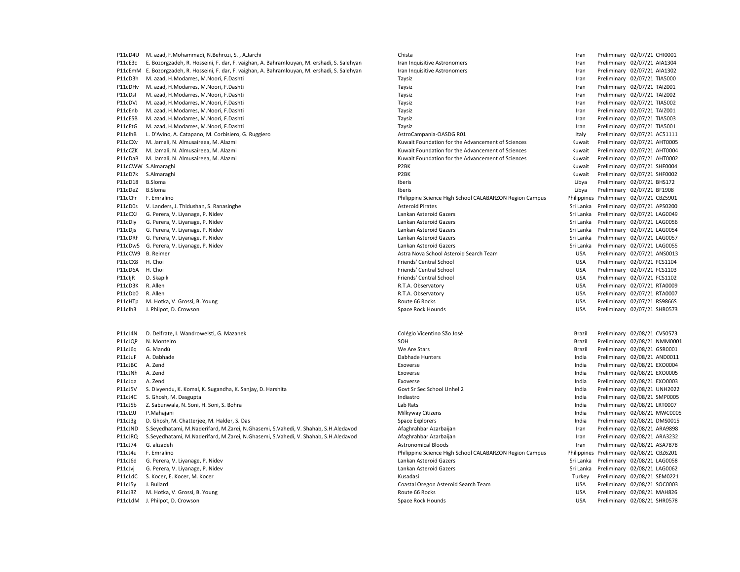P11cD4U M. azad, F.Mohammadi, N.Behrozi, S. , A.Jarchi Chista Chista Chista Chista Iran Preliminary 02/07/21 CHI0001 P11cJ5y J. Bullard Coastal Oregon Asteroid Search Team USA Preliminary 02/08/21 Search Team USA

P11cE3c E. Bozorgzadeh, R. Hosseini, F. dar, F. vaighan, A. Bahramlouyan, M. ershadi, S. Salehyan Iran Inquisitive Astronomers Iran Inquisitive Astronomers Iran Inquisitive Astronomers Iran Preliminary 02/07/21 AIA1304 P11cEmM E. Bozorgzadeh, R. Hosseini, F. dar, F. vaighan, A. Bahramlouyan, M. ershadi, S. Salehyan Iran Inquisitive Astronomers Iran Preliminary 02/07/21 AIA1302 P11cD3h M. azad, H.Modarres, M.Noori, F.Dashti National Preliminary 02/07/21 TIA5000 P11cDHv M. azad, H.Modarres, M.Noori, F.Dashti National Andrew Taysiz Taysiz Channel Taysiz Channel Channel Channel Channel Channel Channel Channel Channel Channel Channel Channel Channel Channel Channel Channel Channel Ch P11cDsI M. azad, H.Modarres, M.Noori, F.Dashti Nashti Taysiz Taysiz Taysiz Taysiz Taysiz and a many 02/07/21 TAIZ002 P11cDVJ M. azad, H.Modarres, M.Noori, F.Dashti Nashti Taysiz Taysiz Taysiz Taysiz Taysiz and the liminary 02/07/21 TIA5002 P11cEnb M. azad, H.Modarres, M.Noori, F.Dashti National Taysiz Taysiz Taysiz Taysiz and Taysiz and the media of the media of the media of the media of the media of the media of the media of the media of the media of the me P11cESB M. azad, H.Modarres, M.Noori, F.Dashti National Preliminary 02/07/21 TlA5003 P11cEtG M. azad, H.Modarres, M.Noori, F.Dashti Nashti Nashti Taysiz Taysiz Taysiz Taysiz and an amam Preliminary 02/07/21 TIA5001 P11clhB L. D'Avino, A. Catapano, M. Corbisiero, G. Ruggiero **AstroCampania-OASDG R01** Preliminary 02/07/21 AC511111 P11cCXv M. Jamali, N. Almusaireea, M. Alazmi 
Ramali, N. Almusaireea, M. Alazmi 
Ramali, N. Almusaireea, M. Alazmi 
Ramali, N. Almusaireea, M. Alazmi 
Ramali, N. Almusaireea, M. Alazmi 
Ramali, N. Almusaireea, M. Alazmi 
R P11cCZK M. Jamali, N. Almusaireea, M. Alazmi 
Ruwait Preliminary 02/07/21 AHT0004 P11cDaB M. Jamali, N. Almusaireea, M. Alazmi Kuwait Foundation for the Advancement of Sciences Kuwait Preliminary 02/07/21 AHT0002 P11cCWW S.Almaraghi P2BK Kuwait Preliminary 02/07/21 SHF0004 P11cD7k S.Almaraghi **P2BK** P2BK P2BK Ruwait Preliminary 02/07/21 SHF0002 P11cD18 B.Sloma **Iberis Libya Preliminary 02/07/21 BHS172 Iberis** Libya Preliminary 02/07/21 BHS172 P11cDeZ B.Sloma **Iberis Libya Preliminary 02/07/21 BF1908** Iberis Libya Preliminary 02/07/21 BF1908 P11cCFr F. Emralino Philippine Science High School CALABARZON Region Campus Philippines Preliminary 02/07/21 CBZ5901 P11cD0s V. Landers, J. Thidushan, S. Ranasinghe Asteroid Pirates Asteroid Pirates Sri Lanka Preliminary 02/07/21 APS0200 P11cCXJ G. Perera, V. Liyanage, P. Nidev Lankan Asteroid Gazers Lankan Asteroid Gazers Sri Lanka Preliminary 02/07/21 LAG0049 P11cDiy G. Perera, V. Liyanage, P. Nidev Lankan Asteroid Gazers Lankan Asteroid Gazers Criteral and Sri Lanka Preliminary 02/07/21 LAG0056 P11cDjs G. Perera, V. Liyanage, P. Nidev Lankan Asteroid Gazers Lankan Asteroid Gazers Sri Lanka Preliminary 02/07/21 LAG0054 P11cDRF G. Perera, V. Liyanage, P. Nidev Lankan Asteroid Gazers Lankan Asteroid Gazers Sri Lanka Preliminary 02/07/21 LAG0057 P11cDw5 G. Perera, V. Liyanage, P. Nidev Lankan Asteroid Gazers Lankan Asteroid Gazers Sri Lanka Preliminary 02/07/21 LAG0055 P11cCW9 B. Reimer **Astra Nova School Asteroid Search Team** Astra Nova School Asteroid Search Team USA Preliminary 02/07/21 ANS0013 P11cCX8 H. Choi **Friends' Central School** Friends' Central School **Friends' Central School** USA Preliminary 02/07/21 FCS1104 P11cD6A H. Choi **Friends' Central School** Friends' Central School **Friends' Central School** USA Preliminary 02/07/21 FCS1103 P11cliR D. Skapik **Friends' Central School** Friends' Central School **Friends' Central School Central School** USA Preliminary 02/07/21 FCS1102 P11cD3K R. Allen Research Research R. T.A. Observatory R.T.A. Observatory COMERCH RESEARCH USA Preliminary 02/07/21 RTA0009 P11cDb0 R. Allen 20/07/21 RTA0007 P11cDb0 R. Allen 20/07/21 RTA0007 P11cHTp M. Hotka, V. Grossi, B. Young Route 66 Rocks USA Preliminary 02/07/21 RS9866S P11clh3 J. Philpot, D. Crowson Space Rock Hounds Space Rock Hounds Space Rock Hounds Space Rock Hounds USA Preliminary 02/07/21 SHR0573 P11cJ4N D. Delfrate, I. Wandrowelsti, G. Mazanek Colégio Vicentino São José Colégio Vicentino São José Brazil Preliminary 02/08/21 CVS0573 P11cJQP N. Monteiro SOH Brazil Preliminary 02/08/21 NMM0001 P11cJ6q G. Mandú **Mandú Calcular Contract Contract Contract Contract Contract Contract Contract Contract Contract Contract Contract Preliminary 02/08/21 GSR0001** P11cJuF A. Dabhade Munters and Dabhade Hunters and Dabhade Hunters and Dabhade Hunters and Dabhade Hunters and Dabhade Hunters and Dabhade Hunters and Dabhade Hunters and Dabhade Hunters and Dabhade Hunters and Dabhade Hun P11cJBC A. Zend **Exoverse** Exoverse Exoverse Exoverse Exoverse Frederick Control and Preliminary 02/08/21 EXO0004 P11cJNh A. Zend excepts the exoternal excepts of the Exoverse Exoverse Exoverse and the except of the except of the except of the EXO0005 P11cJqa A. Zend Exoverse India Preliminary 02/08/21 EXO0003 P11cJ5V S. Divyendu, K. Komal, K. Sugandha, K. Sanjay, D. Harshita Govt Sr Sec School Unhel 2 India Govt Sr Sec School Unhel 2 India Preliminary 02/08/21 UNH2022 P11cJ4C S. Ghosh, M. Dasgupta Indiastro India Preliminary 02/08/21 SMP0005 P11cJ5b Z. Sabunwala, N. Soni, H. Soni, S. Bohra Lab Rats Lab Rats Lab Rats Lab Rats Lab Rats Lab Rats Lab Rats Lab Rats Lab Rats Lab Rats Lab Rats Lab Rats Lab Rats Lab Rats Lab Rats Lab Rats Lab Rats Lab Rats Lab Rats La P11cL9J P.Mahajani **Milkyway Citizens India Preliminary 02/08/21 MWC0005** Milkyway Citizens **India Preliminary 02/08/21 MWC0005** P11cJ3g D. Ghosh, M. Chatterjee, M. Halder, S. Das Space Explorers Space Explorers Space Explorers Preliminary 02/08/21 DMS0015 P11cJND S.Seyedhatami, M.Naderifard, M.Zarei, N.Ghasemi, S.Vahedi, V. Shahab, S.H.Aledavod Afaghrahbar Azarbaijan Iran Preliminary 02/08/21 ARA9898 P11cJRQ S.Seyedhatami, M.Naderifard, M.Zarei, N.Ghasemi, S.Vahedi, V. Shahab, S.H.Aledavod Afaghrahbar Azarbaijan Iran Preliminary 02/08/21 ARA3232 P11cJ74 G. alizadeh **Astronomical Bloods** Astronomical Bloods **Iran Preliminary 02/08/21 ASA7878** P11cJ4u F. Emralino **Philippine Science High School CALABARZON Region Campus** Philippines Preliminary 02/08/21 CBZ6201 P11cJ6d G. Perera, V. Liyanage, P. Nidev Lankan Asteroid Gazers Lankan Asteroid Gazers Sri Lanka Preliminary 02/08/21 LAG0058 P11cJvj G. Perera, V. Liyanage, P. Nidev Lankan Asteroid Gazers Lankan Asteroid Gazers Sri Lanka Preliminary 02/08/21 LAG0062 P11cLdC S. Kocer, E. Kocer, M. Kocer **Microsoft States Constructed Constructed** Microsoft Constant Microsoft Consta<br>P11cJ5y J. Bullard Pullard Preliminary 02/08/21 SOC0003 P11cJ3Z M. Hotka, V. Grossi, B. Young examples and the second term of the second Route 66 Rocks of the second Mathemate Capital States of Route 66 Rocks of the USA Preliminary 02/08/21 MAH826 P11cLdM J. Philpot, D. Crowson Space Rock Hounds Space Rock Hounds Space Rock Hounds Space Rock Hounds USA Preliminary 02/08/21 SHR0578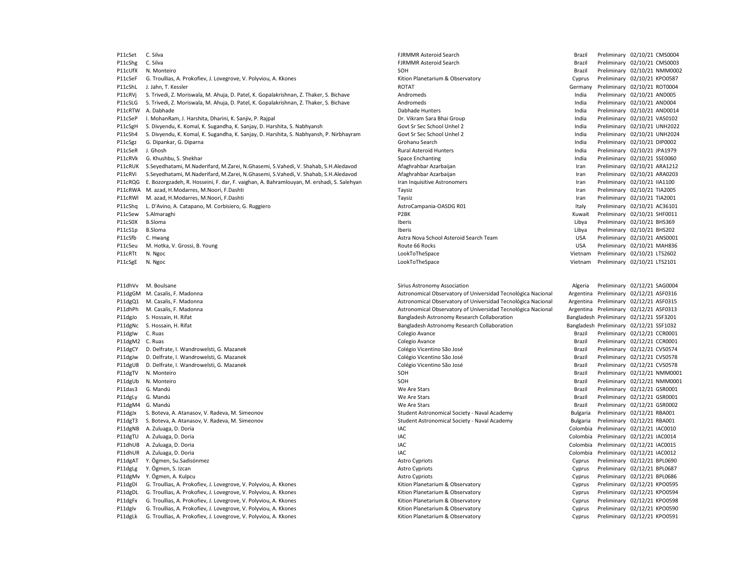P11cSet C. Silva **FIRMMR Asteroid Search FIRMMR Asteroid Search** Brazil Preliminary 02/10/21 CMS0004 P11cShg C. Silva **FIRMMR Asteroid Search FIRMMR Asteroid Search** Brazil Preliminary 02/10/21 CMS0003 P11cUfX N. Monteiro SOH Brazil Preliminary 02/10/21 NMM0002 P11cSeF G. Troullias, A. Prokofiev, J. Lovegrove, V. Polyviou, A. Kkones Changel Changel Cyprus Preliminary 02/10/21 KPO0587 P11cShL J. Jahn, T. Kessler Contract Contract Contract Contract Contract Contract Contract Contract Contract Contract Contract Contract Contract Contract Contract Contract Contract Contract Contract Contract Contract Contr P11cRVj S. Trivedi, Z. Moriswala, M. Ahuja, D. Patel, K. Gopalakrishnan, Z. Thaker, S. Bichave Andromeds and Andromeds and the United Andromeds and the India Preliminary 02/10/21 AND005 P11cSLG S. Trivedi, Z. Moriswala, M. Ahuja, D. Patel, K. Gopalakrishnan, Z. Thaker, S. Bichave Andromeds Andromeds and Andromeds India Preliminary 02/10/21 AND004 P11cRTW A. Dabhade **Markov A. Dabhade Hunters** Dabhade Hunters **Capacity Communications** India Preliminary 02/10/21 AND0014 P11cSeP I. MohanRam, J. Harshita, Dharini, K. Sanjiv, P. Rajpal Dr. Vikram Sara Bhai Group India Preliminary Dr. Vikram Sara Bhai Group India Preliminary 02/10/21 VAS0102 P11cSgH S. Divyendu, K. Komal, K. Sugandha, K. Sanjay, D. Harshita, S. Nabhyansh Govt Sr Sec School Unhel 2 India Preliminary 02/10/21 UNH2022 P11cSh4 S. Divyendu, K. Komal, K. Sugandha, K. Sanjay, D. Harshita, S. Nabhyansh, P. Nirbhayram Govt Sr Sec School Unhel 2 India Preliminary 02/10/21 UNH2024 P11cSgz G. Dipankar, G. Diparna Samu Search Camerona Camerona Grohanu Search Camerona Camerona Camerona Camerona Camerona Grohanu Search India Preliminary 02/10/21 DIP0002 P11cSeR J. Ghosh Rural Asteroid Hunters India Preliminary 02/10/21 JPA1979 P11cRVk G. Khushbu, S. Shekhar Space Chanting Space Enchanting Space Enchanting Space Enchanting Space Enchanting Space Enchanting Space Enchanting Space Enchanting Space Enchanting Space Enchanting Space Enchanting Space P11cRUK S.Seyedhatami, M.Naderifard, M.Zarei, N.Ghasemi, S.Vahedi, V. Shahab, S.H.Aledavod Afaghrahbar Azarbaijan Iran Preliminary 02/10/21 ARA1212 P11cRVi S.Seyedhatami, M.Naderifard, M.Zarei, N.Ghasemi, S.Vahedi, V. Shahab, S.H.Aledavod Afaghrahbar Azarbaijan Iran Preliminary 02/10/21 ARA0203 P11cRQG E. Bozorgzadeh, R. Hosseini, F. dar, F. vaighan, A. Bahramlouyan, M. ershadi, S. Salehyan Iran Inquisitive Astronomers Iran Preliminary 02/10/21 IIA1100 P11cRWA M. azad, H.Modarres, M.Noori, F.Dashti National Preliminary 02/10/21 TIA2005 P11cRWl M. azad, H.Modarres, M.Noori, F.Dashti National Preliminary 02/10/21 TIA2001 P11cShq L. D'Avino, A. Catapano, M. Corbisiero, G. Ruggiero AstroCampania-OASDG R01 Italy Preliminary 02/10/21 AC36101 P11cSew S.Almaraghi P2BK Kuwait Preliminary 02/10/21 SHF0011 P11cS0X B.Sloma **Iberis** Libya Preliminary 02/10/21 BHS369 P11cS1p B.Sloma **Iberis Libya Preliminary 02/10/21 BHS202 Iberis** Libya Preliminary 02/10/21 BHS202 P11cSfb C. Hwang 2/10/21 ANS0001 COMPRESS Astra Nova School Asteroid Search Team COMPRESS USA Preliminary 02/10/21 ANS0001 P11cSeu M. Hotka, V. Grossi, B. Young National Route 66 Rocks Network Route 66 Rocks Network Controller and Manuscript Controller and Route 66 Rocks Network Controller and Manuscript Controller and Manuscript Controller an P11cRTt N. Ngoc Channel CookToTheSpace Channel LookToTheSpace Vietnam Preliminary 02/10/21 LTS2602 P11cSgE N. Ngoc **National State of the Contract Accord Contract Contract Contract Contract Contract Contract Contract Contract Contract Vietnam Preliminary 02/10/21 LTS2101** P11dhVv M. Boulsane Material Company and Sirius Astronomy Association Material Company Algeria Preliminary 02/12/21 SAG0004 P11dgGM M. Casalis, F. Madonna 
P11dgGM M. Casalis, F. Madonna 
P11dgGM M. Casalis, F. Madonna 
P11dgGM M. Casalis, F. Madonna 
P11dgGM M. Casalis, F. Madonna P11dgQ1 M. Casalis, F. Madonna Astronomical Observatory of Universidad Tecnológica Nacional Argentina Preliminary 02/12/21 ASF0315 P11dhPh M. Casalis, F. Madonna **Astronomical Observatory of Universidad Tecnológica Nacional Argentina Preliminary 02/12/21 ASF0313** P11dgJo S. Hossain, H. Rifat **Bangladesh Astronomy Research Collaboration** Bangladesh Preliminary 02/12/21 SSF3201 P11dgNc S. Hossain, H. Rifat **Bangladesh Astronomy Research Collaboration** Bangladesh Preliminary 02/12/21 SSF1032 P11dgIw C. Ruas extending the Colegio Avance Colegio Avance and the Brazil Preliminary 02/12/21 CCR0001 P11dgM2 C. Ruas Colegio Avance Brazil Preliminary 02/12/21 CCR0001 P11dgCY D. Delfrate, I. Wandrowelsti, G. Mazanek Colégio Vicentino São José Colégio Vicentino São José Brazil Preliminary 02/12/21 CVS0574 P11dgJw D. Delfrate, I. Wandrowelsti, G. Mazanek Colégio Vicentino São José Colégio Vicentino São José Brazil Preliminary 02/12/21 CVS0578 P11dgU8 D. Delfrate, I. Wandrowelsti, G. Mazanek Colégio Vicentino São José Colégio Vicentino São José Brazil Preliminary 02/12/21 CVS0578 P11dgTV N. Monteiro **Source Contract Contract Contract Contract Contract Contract Contract Preliminary 02/12/21 NMM0001** P11dgUb N. Monteiro SOH Brazil Preliminary 02/12/21 NMM0001 P11das3 G. Mandú We Are Stars Brazil Preliminary 02/12/21 GSR0001 P11dgLy G. Mandú We Are Stars Brazil Preliminary 02/12/21 GSR0001 P11dgM4 G. Mandú We Are Stars Brazil Preliminary 02/12/21 GSR0002 P11dgJx S. Boteva, A. Atanasov, V. Radeva, M. Simeonov Student Student Astronomical Society - Naval Academy Sulgaria Preliminary 02/12/21 RBA001 P11dgT3 S. Boteva, A. Atanasov, V. Radeva, M. Simeonov Student Society - Naval Academy Student Astronomical Society - Naval Academy Sulgaria Preliminary 02/12/21 RBA001 P11dgNB A. Zuluaga, D. Doria **IAC** Colombia Preliminary 02/12/21 IAC0010 P11dgTU A. Zuluaga, D. Doria **IAC** Colombia Preliminary 02/12/21 IAC0014 P11dhUB A. Zuluaga, D. Doria **IAC** Colombia Preliminary 02/12/21 IAC0015 P11dhUR A. Zuluaga, D. Doria IAC Colombia Preliminary 02/12/21 IAC0012 P11dgAT Y. Ögmen, Su.Sadisönmez **Astro Cypriots** Astro Cypriots Cypriots Cypriots Cyprus Preliminary 02/12/21 BPL0690 P11dgLg Y. Ögmen, S. Izcan Cyprus Cyprus Cyprus Cyprus Cyprus Cyprus Preliminary 02/12/21 BPL0687 P11dgMv Y. Ögmen, A. Kulpcu Cyprus Cyprosessus Astro Cypriots Astro Cypriots Cyprosessus Preliminary 02/12/21 BPL0686 P11dgDI G. Troullias, A. Prokofiev, J. Lovegrove, V. Polyviou, A. Kkones Channel Channel Channel Rition Planetarium & Observatory Cyprus Preliminary 02/12/21 KPO0595 P11dgDL G. Troullias, A. Prokofiev, J. Lovegrove, V. Polyviou, A. Kkones Channel Channel Channel Rition Planetarium & Observatory Cyprus Preliminary 02/12/21 KPO0594 P11dgFx G. Troullias, A. Prokofiev, J. Lovegrove, V. Polyviou, A. Kkones Cyprus Preliminary O2/12/21 KPO0598 P11dgIv G. Troullias, A. Prokofiev, J. Lovegrove, V. Polyviou, A. Kkones Channel Channel Channel Rition Planetarium & Observatory Cyprus Preliminary 02/12/21 KPO0590

P11dgLk G. Troullias, A. Prokofiev, J. Lovegrove, V. Polyviou, A. Kkones Channel Channel Channel Rition Planetarium & Observatory Cyprus Preliminary 02/12/21 KPO0591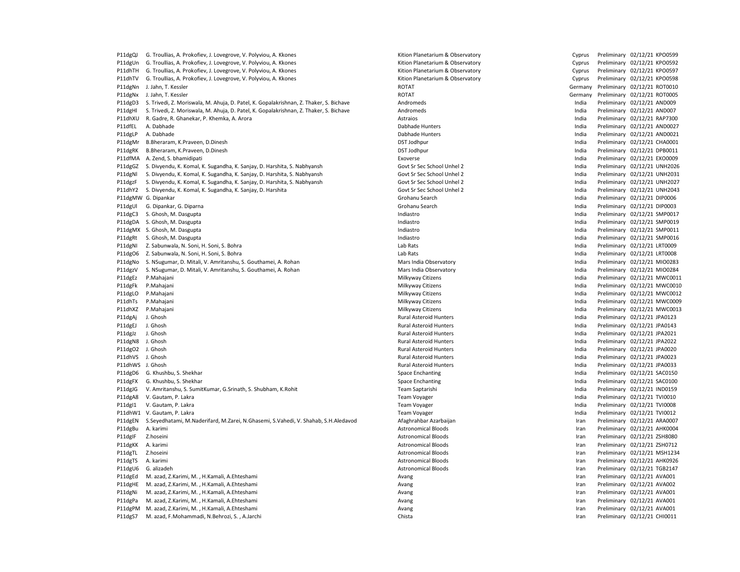P11dgQJ G. Troullias, A. Prokofiev, J. Lovegrove, V. Polyviou, A. Kkones Cyprus Preliminary O2/12/21 KPO0599 (New Yorkocheminary O2/12/21 KPO0599 P11dgUn G. Troullias, A. Prokofiev, J. Lovegrove, V. Polyviou, A. Kkones Changel Changel Cyprus Preliminary 02/12/21 KPO0592 P11dhTH G. Troullias, A. Prokofiev, J. Lovegrove, V. Polyviou, A. Kkones Channel Cyprus Preliminary D. Preliminary D. A. Khones Cyprus Preliminary 02/12/21 KPO0597 P11dhTV G. Troullias, A. Prokofiev, J. Lovegrove, V. Polyviou, A. Kkones Changel Changel Cyprus Preliminary 02/12/21 KPO0598 Preliminary 02/12/21 KPO0598 P11dgNn J.Jahn, T. Kessler Samuel Communication and the Communication of the ROTAT Communication of the Germany Preliminary 02/12/21 ROT0010 P11dgNx J.Jahn, T. Kessler Samuel Comparent Comparent Comparent ROTAT ROTOR COMPARENT Germany Preliminary 02/12/21 ROT0005 P11dgD3 S. Trivedi, Z. Moriswala, M. Ahuja, D. Patel, K. Gopalakrishnan, Z. Thaker, S. Bichave Andromeds Andromeds and the eliminary 02/12/21 AND009 P11dgHl S. Trivedi, Z. Moriswala, M. Ahuja, D. Patel, K. Gopalakrishnan, Z. Thaker, S. Bichave Andromeds Andromeds and the state and the preliminary 02/12/21 AND007 P11dhXU R. Gadre, R. Ghanekar, P. Khemka, A. Arora **India Astraios** Astraios Astraios **India Preliminary 02/12/21 RAP7300** P11dfEL A. Dabhade **Dabhade Dabhade Hunters** Dabhade Hunters Dabhade Hunters **India Preliminary 02/12/21 AND0027** P11dgLP A. Dabhade **Dabhade Dabhade Hunters** Dabhade Hunters Dabhade Hunters **India Preliminary 02/12/21 AND0021** P11dgMr B.Bheraram, K.Praveen, D.Dinesh DST Modern DST Jodhpur DST Jodhpur DST Jodhpur DST Jodhpur DST Jodhpur DST Jodhpur DST Jodhpur DST Jodhpur DST Jodhpur DST Jodhpur DST Jodhpur DST Jodhpur DST Jodhpur DST Jodhpur DST P11dgRK B.Bheraram, K.Praveen, D.Dinesh DST Modern DST Jodhpur DST Jodhpur DST Jodhpur Preliminary 02/12/21 DPB0011 P11dfMA A. Zend, S. bhamidipati Exoverse India Preliminary 02/12/21 EXO0009 P11dgGZ S. Divyendu, K. Komal, K. Sugandha, K. Sanjay, D. Harshita, S. Nabhyansh Govt Sr Sec School Unhel 2 India Preliminary 02/12/21 UNH2026 P11dgNl S. Divyendu, K. Komal, K. Sugandha, K. Sanjay, D. Harshita, S. Nabhyansh Govt Sr Sec School Unhel 2 India Preliminary 02/12/21 UNH2031 P11dgzF S. Divyendu, K. Komal, K. Sugandha, K. Sanjay, D. Harshita, S. Nabhyansh Govt Sr Sec School Unhel 2 and the late of the late of the late of the Preliminary 02/12/21 UNH2027 P11dhY2 S. Divyendu, K. Komal, K. Sugandha, K. Sanjay, D. Harshita Govt Sr Sec School Unhel 2 Covt Sr Sec School Unhel 2 Covt Sr Sec School Unhel 2 India Preliminary 02/12/21 UNH2043 P11dgMW G. Dipankar Grohanu Search India Preliminary 02/12/21 DIP0006 P11dgUl G. Dipankar, G. Diparna and the search compared the search compared the search compared the compared of the search india Preliminary 02/12/21 DIP0003 P11dgC3 S. Ghosh, M. Dasgupta **Indiastro** Indiastro Indiastro Indiastro India Preliminary 02/12/21 SMP0017 P11dgDA S. Ghosh, M. Dasgupta **Indiastro Indiastro Indiastro** Indiastro **India Preliminary 02/12/21 SMP0019** P11dgMX S. Ghosh, M. Dasgupta Indiastro India Preliminary 02/12/21 SMP0011 P11dgRt S. Ghosh, M. Dasgupta **Indiastro Community Community Community** Indiastro **India Preliminary 02/12/21 SMP0016** P11dgNI Z. Sabunwala, N. Soni, H. Soni, S. Bohra Lab Rats Lab Rats Lab Rats Lab Rats Lab Rats Lab Rats Lab Rats Lab Rats Lab Rats Lab Rats Lab Rats Lab Rats Lab Rats Lab Rats Lab Rats Lab Rats Lab Rats Lab Rats Lab Rats La P11dgO6 Z. Sabunwala, N. Soni, H. Soni, S. Bohra Lab Rats Lab Rats Lab Rats Lab Rats India Preliminary 02/12/21 LRT0008 P11dgNo S. NSugumar, D. Mitali, V. Amritanshu, S. Gouthamei, A. Rohan Mars India Observatory Mars India Deservatory Mars India Preliminary 02/12/21 MIO0283 P11dgzV S. NSugumar, D. Mitali, V. Amritanshu, S. Gouthamei, A. Rohan Mars India Observatory Mars India Mars India Preliminary 02/12/21 MIO0284 P11dgEz P.Mahajani **Milkyway Citizens** Milkyway Citizens **India Preliminary 02/12/21 MWC0011** P11dgFk P.Mahajani **Milkyway Citizens** Milkyway Citizens **India Preliminary 02/12/21 MWC0010** P11dgLO P.Mahajani **Milkyway Citizens India Preliminary 02/12/21 MWC0012** Milkyway Citizens **India Preliminary 02/12/21 MWC0012** P11dhTs P.Mahajani **Milkyway Citizens** Milkyway Citizens **India Preliminary 02/12/21 MWC0009** P11dhXZ P.Mahajani **Milkyway Citizens** Milkyway Citizens **India Preliminary 02/12/21 MWC0013** P11dgAj J. Ghosh **Rural Asteroid Hunters** Rural Asteroid Hunters **Rural Asteroid Hunters** and the community 02/12/21 JPA0123 P11dgEJ J. Ghosh **Rural Asteroid Hunters** Rural Asteroid Hunters **Rural Asteroid Hunters** and the United Streams and the Preliminary 02/12/21 JPA0143 P11dgJz J. Ghosh School Bural Asteroid Hunters Rural Asteroid Hunters and School Hunters and Asteroid Hunters Rural Asteroid Hunters and The India Preliminary 02/12/21 JPA2021 P11dgN8 J. Ghosh Rural Asteroid Hunters India Preliminary 02/12/21 JPA2022 P11dgO2 J. Ghosh School and Christian Rural Asteroid Hunters Rural Asteroid Hunters and The Lucius Control of the Preliminary 02/12/21 JPA0020 P11dhVS J. Ghosh **Rural Asteroid Hunters** Rural Asteroid Hunters **Rural Asteroid Hunters** and the United Structure of the Preliminary 02/12/21 JPA0023 P11dhWS J. Ghosh **Rural Asteroid Hunters** Rural Asteroid Hunters **Number 2012/21 1980** Preliminary 02/12/21 JPA0033 P11dgD6 G. Khushbu, S. Shekhar Space Space Enchanting Space Enchanting Space Enchanting The Space Enchanting Space Enchanting Space Enchanting Space Enchanting Space Enchanting Space Enchanting Space Enchanting Space Encha P11dgFX G. Khushbu, S. Shekhar Space Enchanting Space Enchanting Space Enchanting The Space Enchanting Space Enchanting Space Enchanting Space Enchanting Space Enchanting Space Enchanting Space Enchanting Space Enchanting P11dgJG V. Amritanshu, S. SumitKumar, G.Srinath, S. Shubham, K.Rohit Team Saptarishi India Preliminary 02/12/21 IND0159 P11dgA8 V. Gautam, P. Lakra November 2021 2022 12: Payment Company of Team Voyager Company of Team Voyager Company of the United States of the United States of Team Voyager Company of the United States of the United States P11dgI1 V. Gautam, P. Lakra November 2021 2022 12:0008 and Team Voyager Team Voyager Communications of the United States of the United States of Team Voyager Preliminary 02/12/21 TVI0008 P11dhW1 V. Gautam, P. Lakra November 20212/21 Team Voyager New York and Team Voyager Communications of the United States of the United States of Team Voyager Preliminary 02/12/21 TVI0012 P11dgEN S.Seyedhatami, M.Naderifard, M.Zarei, N.Ghasemi, S.Vahedi, V. Shahab, S.H.Aledavod Afaghrahbar Azarbaijan Iran Preliminary 02/12/21 ARA0007 P11dgBu A. karimi **Astronomical Bloods** Astronomical Bloods **Iran Preliminary 02/12/21 AHK0004** P11dgIF Z.hoseini **Astronomical Bloods** Astronomical Bloods **Iran Preliminary 02/12/21 ZSH8080** P11dgKK A. karimi **Astronomical Bloods Astronomical Bloods Iran Preliminary 02/12/21 ZSH0712** P11dgTL Z.hoseini **Astronomical Bloods** Astronomical Bloods **Iran Preliminary 02/12/21 MSH1234** P11dgTS A. karimi **Astronomical Bloods** Astronomical Bloods **Iran Preliminary 02/12/21 AHK0926** P11dgU6 G. alizadeh **Astronomical Bloods** Astronomical Bloods **Iran Preliminary 02/12/21 TGB2147** P11dgEd M. azad, Z.Karimi, M. , H.Kamali, A.Ehteshami Avang Iran Preliminary 02/12/21 AVA001 P11dgHE M. azad, Z.Karimi, M. , H.Kamali, A.Ehteshami Avang Iran Preliminary 02/12/21 AVA002 P11dgNi M. azad, Z.Karimi, M. , H.Kamali, A.Ehteshami Avang Iran Preliminary 02/12/21 AVA001 P11dgPa M. azad, Z.Karimi, M. , H.Kamali, A.Ehteshami **Avang Avang Avang Avang Iran Preliminary 02/12/21** AVA001 P11dgPM M. azad, Z.Karimi, M. , H.Kamali, A.Ehteshami Avang Iran Preliminary 02/12/21 AVA001 P11dgS7 M. azad, F.Mohammadi, N.Behrozi, S., A.Jarchi Chista Chista Chista Chista Iran Preliminary 02/12/21 CHI0011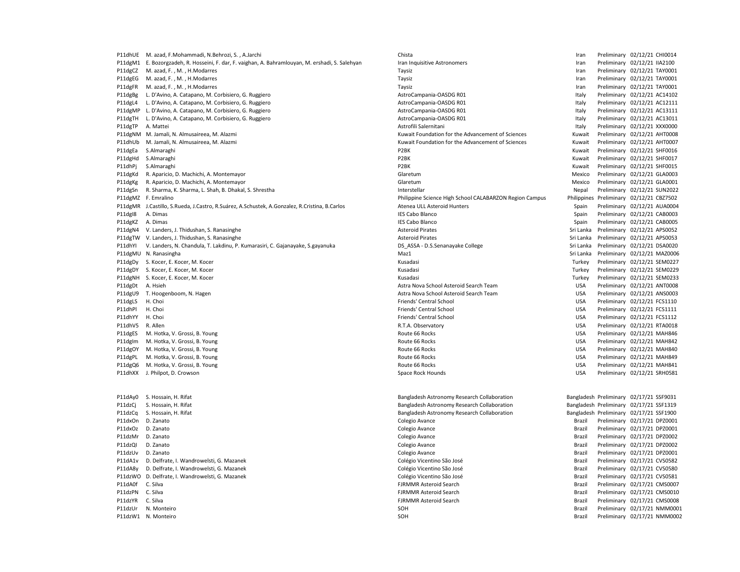P11dgM1 E. Bozorgzadeh, R. Hosseini, F. dar, F. vaighan, A. Bahramlouyan, M. ershadi, S. Salehyan Iran Inquisitive Astronomers Iran Preliminary 02/12/21 IIA2100 P11dgCZ M. azad, F. , M. , H.Modarres examples and the state of the control of the Taysiz Taysiz and the control of the control of the control of the Preliminary 02/12/21 TAY0001 P11dgEG M. azad, F., M., H.Modarres examples and the state of the Taysiz Taysiz and the Taysiz controller and the Preliminary 02/12/21 TAY0001 P11dgFR M. azad, F., M., H.Modarres examples and the state of the state of the Taysiz and the State of the Taysiz controller and the Preliminary 02/12/21 TAY0001 P11dgBg L. D'Avino, A. Catapano, M. Corbisiero, G. Ruggiero **AstroCampania-OASDG RO1** AstroCampania-OASDG RO1 **Italy Preliminary 02/12/21 AC14102** P11dgL4 L. D'Avino, A. Catapano, M. Corbisiero, G. Ruggiero **AstroCampania-OASDG Romania-OASDG R01** Preliminary 02/12/21 AC12111 P11dgMP L. D'Avino, A. Catapano, M. Corbisiero, G. Ruggiero AstroCampania-OASDG R01 Preliminary 02/12/21 AC131111 AC13111 P11dgTH L. D'Avino, A. Catapano, M. Corbisiero, G. Ruggiero AstroCampania-OASDG R01 Italy Preliminary 02/12/21 AC13011 P11dgTP A. Mattei **Astrofili Salernitani Astrofili Salernitani** Astrofili Salernitani **Italy Preliminary 02/12/21 XXX0000** P11dgNM M. Jamali, N. Almusaireea, M. Alazmi 
Ramali, N. Almusaireea, M. Alazmi 
Ramali, N. Almusaireea, M. Alazmi 
Ramali, N. Almusaireea, M. Alazmi 
Ramali, N. Almusaireea, M. Alazmi 
Ramali, N. Almusaireea, M. Alazmi 
R P11dhUb M. Jamali, N. Almusaireea, M. Alazmi 
Ramali, N. Almusaireea, M. Alazmi 
Ramali, N. Almusaireea, M. Alazmi 
Ramali, N. Almusaireea, M. Alazmi 
Ramali, N. Almusaireea, M. Alazmi 
Ramali, N. Almusaireea, M. Alazmi 
R P11dgEa S.Almaraghi **P2BK** P2BK **P2BK** Ruwait Preliminary 02/12/21 SHF0016 P11dgHd S.Almaraghi 2012/21 SHF0017 P2BK P2BK P2BK Ruwait Preliminary 02/12/21 SHF0017 P11dhPj S.Almaraghi P2BK Kuwait Preliminary 02/12/21 SHF0015 P11dgKd R. Aparicio, D. Machichi, A. Montemayor Charles and Charles Charles Charles Charles Charles Charles Charles Charles Charles Charles Charles Charles Charles Charles Charles Charles Charles Charles Charles Charles Ch P11dgKg R. Aparicio, D. Machichi, A. Montemayor Charles and Charles Charles Charles Charles Charles Charles Charles Charles Charles Charles Charles Charles Charles Charles Charles Charles Charles Charles Charles Charles Ch P11dgSn R. Sharma, K. Sharma, L. Shah, B. Dhakal, S. Shrestha Interstellar Interstellar Interstellar Interstellar Interstellar Interstellar Interstellar Interstellar Interstellar Interstellar Interstellar Interstellar Inte P11dgMZ F. Emralino Philippine Science High School CALABARZON Region Campus Philippines Preliminary 02/12/21 CBZ7502 P11dgMR J.Castillo, S.Rueda, J.Castro, R.Suárez, A.Schustek, A.Gonzalez, R.Cristina, B.Carlos Atenea ULL Asteroid Hunters Spain Preliminary 02/12/21 AUA0004 P11dgI8 A. Dimas IES Cabo Blanco Spain Preliminary 02/12/21 CAB0003 P11dgKZ A. Dimas **IES Cabo Blanco** IES Cabo Blanco **IES Cabo Blanco** Spain Preliminary 02/12/21 CAB0005 P11dgN4 V. Landers, J. Thidushan, S. Ranasinghe Asteroid Pirates Asteroid Pirates Sri Lanka Preliminary 02/12/21 APS0052 P11dgTW V. Landers, J. Thidushan, S. Ranasinghe Asteroid Pirates Asteroid Pirates Sri Lanka Preliminary 02/12/21 APS0053 P11dhYI V. Landers, N. Chandula, T. Lakdinu, P. Kumarasiri, C. Gajanayake, S.gayanuka DS ASSA - D.S.Senanayake College Sri Lanka Preliminary 02/12/21 DSA0020 P11dgMU N. Ranasingha entropic services and the Maz1 Sri Lanka Preliminary 02/12/21 MAZ0006 P11dgDy S. Kocer, E. Kocer, M. Kocer **Microsoft Contract Contract Contract Contract Contract Contract Contract Contract Contract Contract Contract Contract Contract Contract Contract Contract Contract Contract Contract Con** P11dgDY S. Kocer, E. Kocer, M. Kocer Material and States and Material States and Museum Museum Preliminary 02/12/21 SEM0229 P11dgNH S. Kocer, E. Kocer, M. Kocer **Microsoft States And Turkey Preliminary 02/12/21 SEM0233** Museum Preliminary 02/12/21 SEM0233 P11dgDt A. Hsieh Microsoft Astra Nova School Asteroid Search Team Microsoft Search Team USA Preliminary 02/12/21 ANT0008 P11dgU9 T. Hoogenboom, N. Hagen Nagen Astra Nova School Asteroid Search Team Nova School Asteroid Search Team Nova School Asteroid Search Team Nova School Asteroid Search Team Nova School Asteroid Search Team Nova School A P11dgLS H. Choi **Friends' Central School** Friends' Central School **Friends' Central School** USA Preliminary 02/12/21 FCS1110 P11dhPl H. Choi **Friends' Central School** Friends' Central School **Friends' Central School** USA Preliminary 02/12/21 FCS1111 P11dhYY H. Choi **Friends' Central School** Friends' Central School **Friends' Central School** USA Preliminary 02/12/21 FCS1112 P11dhV5 R. Allen 20/12/21 RTA0018 R. T.A. Observatory R.T.A. Observatory CSA Preliminary 02/12/21 RTA0018 P11dgES M. Hotka, V. Grossi, B. Young examples and the set of the set of Route 66 Rocks and the Second Control of the Second Route 66 Rocks and the USA Preliminary 02/12/21 MAH846 P11dgIm M. Hotka, V. Grossi, B. Young National Route 66 Rocks Route 66 Rocks Route 66 Rocks Route 66 Rocks National Route 66 Rocks Route 66 Rocks Route 66 Rocks Route 66 Rocks Route 66 Rocks Route 66 Rocks Route 66 Rocks R P11dgOY M. Hotka, V. Grossi, B. Young examples and the second of the second Route 66 Rocks and the second DSA Preliminary 02/12/21 MAH840 P11dgPL M. Hotka, V. Grossi, B. Young examples and the second of the second Route 66 Rocks and the second of the Second Route 66 Rocks and the USA Preliminary 02/12/21 MAH849 P11dgQ6 M. Hotka, V. Grossi, B. Young Changel Changel Route 66 Rocks Route 66 Rocks Changel Changel Changel Changel Changel Route 66 Rocks Route 66 Rocks USA Preliminary 02/12/21 MAH841 P11dhXX J. Philpot, D. Crowson examples are set to the space Rock Hounds Space Rock Hounds and the USA Preliminary 02/12/21 SRH0581 P11dAy0 S. Hossain, H. Rifat **Bangladesh Astronomy Research Collaboration** Bangladesh Preliminary 02/17/21 SSF9031 P11dzCj S. Hossain, H. Rifat **Bangladesh Astronomy Research Collaboration** Bangladesh Preliminary 02/17/21 SSF1319 P11dzCq S. Hossain, H. Rifat **Bangladesh Astronomy Research Collaboration** Bangladesh Preliminary 02/17/21 SSF1900 P11dxOn D. Zanato entropolaria entropolaria entropolaria colegio Avance colegio Avance entropolaria entropolaria entropolaria entropolaria entropolaria entropolaria entropolaria entropolaria entropolaria entropolaria entro P11dxOz D. Zanato **Colegio Avance** Colegio Avance Colegio Avance Colegio Avance Brazil Preliminary 02/17/21 DPZ0001 P11dzMr D. Zanato **Colegio Avance** Colegio Avance Colegio Avance Colegio Avance Brazil Preliminary 02/17/21 DPZ0002 P11dzQI D. Zanato **Colegio Avance** Colegio Avance Colegio Avance Colegio Avance Brazil Preliminary 02/17/21 DPZ0002 P11dzUv D. Zanato entropressor entropressor de colegio Avance colegio Avance entropressor de Brazil Preliminary 02/17/21 DPZ0001 P11dA1v D. Delfrate, I. Wandrowelsti, G. Mazanek Colégio Vicentino São José Colégio Vicentino São José Brazil Preliminary 02/17/21 CVS0582 P11dA8y D. Delfrate, I. Wandrowelsti, G. Mazanek Colégio Vicentino São José Colégio Vicentino São José Brazil Preliminary 02/17/21 CVS0580 P11dzWO D. Delfrate, I. Wandrowelsti, G. Mazanek Colégio Colégio Vicentino São José Brazil Preliminary 02/17/21 CVS0581 P11dA0f C. Silva **FIRMMR Asteroid Search FIRMMR Asteroid Search** Brazil Preliminary 02/17/21 CMS0007 P11dzPN C. Silva **FIRMMR Asteroid Search FIRMMR Asteroid Search** Brazil Preliminary 02/17/21 CMS0010 P11dzYR C. Silva FJRMMR Asteroid Search FJRMMR Asteroid Search **For the Contract Brazil Preliminary 02/17/21 CMS0008** P11dzUr N. Monteiro SOH Brazil Preliminary 02/17/21 NMM0001 P11dzW1 N. Monteiro **Source Contract Contract Contract Contract Contract Contract Contract Preliminary 02/17/21 NMM0002** 

P11dhUE M. azad, F.Mohammadi, N.Behrozi, S. , A.Jarchi Chista Chista Chista Chista Iran Preliminary 02/12/21 CHI0014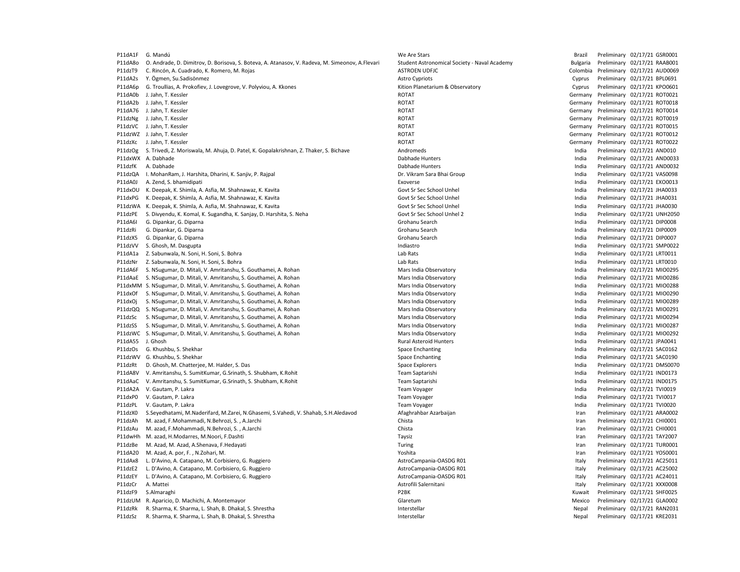P11dA1F G. Mandú **We Are Stars Are Stars Are Stars Are Stars** Brazil Preliminary 02/17/21 GSR0001 P11dA8o O. Andrade, D. Dimitrov, D. Borisova, S. Boteva, A. Atanasov, V. Radeva, M. Simeonov, A. Flevari Student Astronomical Society - Naval Academy Bulgaria Preliminary 02/17/21 RAAB001 P11dzT9 C. Rincón, A. Cuadrado, K. Romero, M. Rojas Colombia Preliminary 02/17/21 AUD0069 P11dA2s Y. Ögmen, Su.Sadisönmez **Astro Cypriots** Astro Cypriots Cypriots Cyprus Preliminary 02/17/21 BPL0691 P11dA6p G. Troullias, A. Prokofiev, J. Lovegrove, V. Polyviou, A. Kkones Channel Channel Channel Rition Planetarium & Observatory Cyprus Preliminary 02/17/21 KPO0601 P11dA0b J.Jahn, T. Kessler Samuel Comparent Comparent Comparent ROTAT ROTOR CHEMINAL Germany Preliminary 02/17/21 ROT0021 P11dA2b J.Jahn, T. Kessler Samuel Comparent Comparent Comparent ROTAT ROTOR CHEMINARY GERMANY Preliminary 02/17/21 ROT0018 P11dA76 J. Jahn. T. Kessler Contract Contract Contract Contract ROTAT ROTOGLE CONTRACT CHE Germany Preliminary 02/17/21 ROT0014 P11dzNg J. Jahn, T. Kessler Company Preliminary 02/17/21 ROTO19 P11dzVC J. Jahn, T. Kessler Samuel Company Preliminary 02/17/21 ROT0015 P11dzWZ J.Jahn, T. Kessler Samuel Comparent Comparent Comparent ROTAT ROTOR CHEMINAL Germany Preliminary 02/17/21 ROT0012 P11dzXc J. Jahn, T. Kessler Samuel Comparent Comparent Comparent ROTAT ROTOR COMPARENT Germany Preliminary 02/17/21 ROT0022 P11dzOg S. Trivedi, Z. Moriswala, M. Ahuja, D. Patel, K. Gopalakrishnan, Z. Thaker, S. Bichave Andromeds Andromeds and the state and the preliminary 02/17/21 AND010 P11dxWX A. Dabhade Dabhade Hunters India Preliminary 02/17/21 AND0033 P11dzfK A. Dabhade Dabhade Dabhade Hunters Dabhade Hunters Dabhade Hunters Dabhade Hunters Dabhade Hunters Dabhade Preliminary 02/17/21 AND0032 P11dzQA I. MohanRam, J. Harshita, Dharini, K. Sanjiv, P. Rajpal Dr. Vikram Sara Bhai Group India Preliminary 02/17/21 VAS0098 P11dA0J A. Zend, S. bhamidipati entropy and the server and the serverse and the serverse controller than the preliminary 02/17/21 EXO0013 P11dxOU K. Deepak, K. Shimla, A. Asfia, M. Shahnawaz, K. Kavita Govt Sr Sec School Unhel India Cover Sr Sec School Unhel India Preliminary 02/17/21 JHA0033 P11dxPG K. Deepak, K. Shimla, A. Asfia, M. Shahnawaz, K. Kavita Govt Sr Sec School Unhel India Preliminary 02/17/21 JHA0031 P11dzWA K. Deepak, K. Shimla, A. Asfia, M. Shahnawaz, K. Kavita Govt Sr Sec School Unhel India Preliminary 02/17/21 JHA0030 P11dzPE S. Divyendu, K. Komal, K. Sugandha, K. Sanjay, D. Harshita, S. Neha Govt Sr Sec School Unhel 2 Covt Sr Sec School Unhel 2 Covt Sr Sec School Unhel 2 and Freliminary 02/17/21 UNH2050 P11dA6I G. Dipankar, G. Diparna Grohanu Search Camera Grohanu Search Camera Grohanu Search Camera Camera Camera Camera Camera Camera Camera Camera Camera Camera Camera Camera Camera Camera Camera Camera Camera Camera Camer P11dzRi G. Dipankar, G. Diparna Samu Search Camerona Company Camerona Grohanu Search Camerona Camerona Camerona Camerona Camerona Camerona Camerona Camerona Camerona Camerona Camerona Camerona Camerona Camerona Camerona Ca P11dzX5 G. Dipankar, G. Diparna Samus and Samus Care and Samus Care and Grohanu Search Care and Samus Care and Helminary 02/17/21 DIP0007 P11dzVV S. Ghosh, M. Dasgupta Indiastro India Preliminary 02/17/21 SMP0022 P11dA1a Z. Sabunwala, N. Soni, H. Soni, S. Bohra Lab Rats India Preliminary 02/17/21 LRT0011 P11dzNr Z. Sabunwala, N. Soni, H. Soni, S. Bohra Lab Rats Lab Rats Lab Rats Lab Rats Lab Rats Lab Rats Lab Rats Lab Rats Lab Rats Lab Rats Lab Rats Lab Rats Lab Rats Lab Rats Lab Rats Lab Rats Lab Rats Lab Rats Lab Rats La P11dA6F S. NSugumar, D. Mitali, V. Amritanshu, S. Gouthamei, A. Rohan Mars India Observatory Mars India Observatory Mars India Preliminary 02/17/21 MIO0295 P11dAaE S. NSugumar, D. Mitali, V. Amritanshu, S. Gouthamei, A. Rohan Mars India Observatory Chang Mars India Observatory Chang Mars India Preliminary 02/17/21 MIO0286 P11dxMM S. NSugumar, D. Mitali, V. Amritanshu, S. Gouthamei, A. Rohan Mars India Observatory Mars India Observatory Mars India Mars India Preliminary 02/17/21 MIO0288 P11dxOf S. NSugumar, D. Mitali, V. Amritanshu, S. Gouthamei, A. Rohan Mars India Observatory Mars India Observatory Communical Diservatory CO/17/21 MIO0290 P11dxOj S. NSugumar, D. Mitali, V. Amritanshu, S. Gouthamei, A. Rohan Mars India Observatory Mars India Observatory India Preliminary 02/17/21 MIO0289 P11dzQQ S. NSugumar, D. Mitali, V. Amritanshu, S. Gouthamei, A. Rohan Mars India Observatory Mars India Observatory Mars India Preliminary 02/17/21 MIO0291 P11dzSc S. NSugumar, D. Mitali, V. Amritanshu, S. Gouthamei, A. Rohan Mars India Observatory Mars India Doservatory Mars India Preliminary 02/17/21 MIO0294 P11dzSS S. NSugumar, D. Mitali, V. Amritanshu, S. Gouthamei, A. Rohan Mars India Observatory Mars India Mars India Preliminary 02/17/21 MIO0287 P11dzWC S. NSugumar, D. Mitali, V. Amritanshu, S. Gouthamei, A. Rohan Mars India Observatory Mars India Doservatory Mars India Preliminary 02/17/21 MIO0292 P11dA55 J. Ghosh Rural Asteroid Hunters India Preliminary 02/17/21 JPA0041 P11dzOs G. Khushbu, S. Shekhar Space Space Enchanting Space Enchanting Space Enchanting The Space Enchanting Space Enchanting Space Enchanting Space Enchanting Space Enchanting Space Enchanting Space Enchanting Space Encha P11dzWV G. Khushbu, S. Shekhar Space Enchanting Space Enchanting Space Enchanting The Space Enchanting Space Enchanting Space Enchanting Space Enchanting Space Enchanting Space Enchanting Space Enchanting Space Enchanting P11dzRt D. Ghosh, M. Chatterjee, M. Halder, S. Das Space States India Preliminary 02/17/21 DMS0070 P11dA8V V. Amritanshu, S. SumitKumar, G.Srinath, S. Shubham, K.Rohit Team Saptarishi India Preliminary 02/17/21 IND0173 P11dAaC V. Amritanshu, S. SumitKumar, G.Srinath, S. Shubham, K.Rohit Team Saptarishi India Preliminary 02/17/21 IND0175 P11dA2A V. Gautam, P. Lakra **Team Voyager 1.2. Exam Voyager** Team Voyager Preliminary 02/17/21 TVI0019 P11dxP0 V. Gautam, P. Lakra November 20217/21 TVI0017 Ceam Voyager Team Voyager Company Company Company Company Company Company Company Company Company Company Company Company Company Company Company Company Company Compan P11dzPL V. Gautam, P. Lakra November 2021/21 TVI0020 Ceam Voyager Team Voyager Company of the Company Capital Architects of the Company C2/17/21 TVI0020 P11dzX0 S.Seyedhatami, M.Naderifard, M.Zarei, N.Ghasemi, S.Vahedi, V. Shahab, S.H.Aledavod Afaghrahbar Azarbaijan Iran Preliminary 02/17/21 ARA0002 P11dzAh M. azad, F.Mohammadi, N.Behrozi, S. , A.Jarchi Chista Chista Chista Chista Iran Preliminary 02/17/21 CHI0001 P11dzAu M. azad, F.Mohammadi, N.Behrozi, S., A.Jarchi Chista Chista Chista Chista Iran Preliminary 02/17/21 CHI0001 P11dwHh M. azad, H.Modarres, M.Noori, F.Dashti National Preliminary 02/17/21 TAY2007 P11dzBe M. Azad, M. Azad, A. Shenava, F. Hedayati **Turing Turing Community Community 1996** 17 and Preliminary 02/17/21 TUR0001 P11dA20 M. Azad, A. por, F., N.Zohari, M. Natural American Company of the Company of the Company of the Company of the Company of the Company of the Company of the Company of the Company of the Company of the Company of th P11dAx8 L. D'Avino, A. Catapano, M. Corbisiero, G. Ruggiero **AstroCampania-OASDG RO1** AstroCampania-OASDG RO1 **Italy Preliminary 02/17/21 AC25011** P11dzE2 L. D'Avino, A. Catapano, M. Corbisiero, G. Ruggiero **AstroCampania-OASDG R01** Preliminary 02/17/21 AC25002 P11dzEY L. D'Avino, A. Catapano, M. Corbisiero, G. Ruggiero **AstroCampania-OASDG Romania-OASDG R01** Preliminary 02/17/21 AC24011 P11dzCr A. Mattei **Astrofili Salernitani** Astrofili Salernitani **Astrofili Salernitani** Italy Preliminary 02/17/21 XXX0008 P11dzF9 S.Almaraghi **P2BK** P2BK Ruwait Preliminary 02/17/21 SHF0025 P11dzUM R. Aparicio, D. Machichi, A. Montemayor Charles and Charles Charles Charles Charles Charles Charles Charles Charles Charles Charles Charles Charles Charles Charles Charles Charles Charles Charles Charles Charles Ch P11dzRk R. Sharma, K. Sharma, L. Shah, B. Dhakal, S. Shrestha Interstellar Interstellar Interstellar Nepal Preliminary 02/17/21 RAN2031 P11dzSz R. Sharma, K. Sharma, L. Shah, B. Dhakal, S. Shrestha Interstellar Interstellar Interstellar Nepal Preliminary 02/17/21 KRE2031